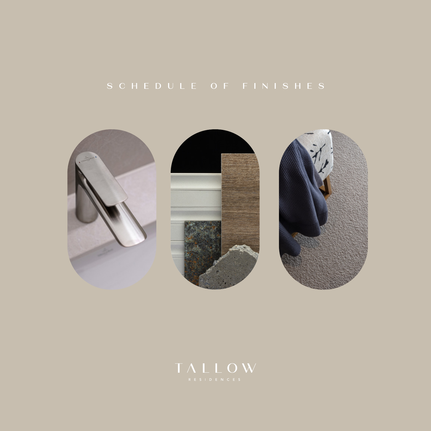# SCHEDULE OF FINISHES



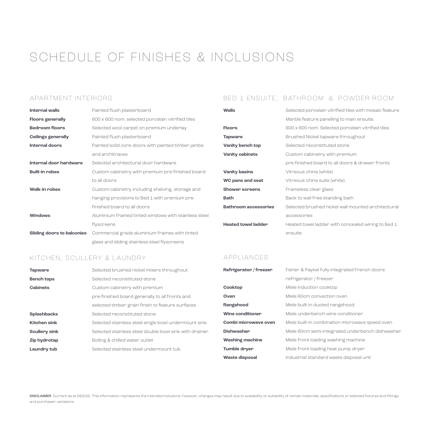# SCHEDULE OF FINISHES & INCLUSIONS

### APARTMENT INTERIORS

| <b>Internal walls</b>             | Painted flush plasterboard                           |
|-----------------------------------|------------------------------------------------------|
| <b>Floors generally</b>           | 600 x 600 nom. selected porcelain vitrified tiles    |
| <b>Bedroom floors</b>             | Selected wool carpet on premium underlay             |
| <b>Ceilings generally</b>         | Painted flush plasterboard                           |
| Internal doors                    | Painted solid core doors with painted timber jambs   |
|                                   | and anchitraves                                      |
| Internal door hardware            | Selected anchitectural door handwane                 |
| <b>Built-in robes</b>             | Custom cabinetry with premium pre-finished board     |
|                                   | to all doons                                         |
| <b>Walk-in robes</b>              | Custom cabinetry including shelving, storage and     |
|                                   | hanging provisions to Bed 1 with premium pre-        |
|                                   | finished board to all doors                          |
| <b>Windows</b>                    | Aluminium framed tinted windows with stainless steel |
|                                   | flyscreens                                           |
| <b>Sliding doors to balconies</b> | Commercial grade aluminium frames with tinted        |
|                                   | glass and sliding stainless steel flyscreens         |

# BED 1 ENSUITE, BATHROOM & POWDER ROOM

| Walls                       | Selected poncelain vitnified tiles with mosaic feature. |
|-----------------------------|---------------------------------------------------------|
|                             | Marble feature panelling to main ensuite.               |
| <b>Floors</b>               | 600 x 600 nom. Selected porcelain vitrified tiles       |
| <b>Tapware</b>              | Brushed Nickel tapware throughout                       |
| <b>Vanity bench top</b>     | Selected reconstituted stone                            |
| <b>Vanity cabinets</b>      | Custom cabinetry with premium                           |
|                             | pre-finished board to all doors & drawer fronts         |
| <b>Vanity basins</b>        | Vitreous china (white)                                  |
| <b>WC pans and seat</b>     | Vitneous china suite (white)                            |
| <b>Shower screens</b>       | Frameless clear glass                                   |
| Bath                        | Back to wall free-standing bath                         |
| <b>Bathroom accessories</b> | Selected brushed nickel wall mounted architectural      |
|                             | accessories                                             |
| <b>Heated towel ladder</b>  | Heated towel ladden with concealed wining to Bed 1      |
|                             | ensuite                                                 |

# KITCHEN, SCULLERY & LAUNDRY

| <b>Tapware</b>       | Selected brushed nickel mixers throughout              |
|----------------------|--------------------------------------------------------|
| <b>Bench tops</b>    | Selected reconstituted stone                           |
| <b>Cabinets</b>      | Custom cabinetry with premium                          |
|                      | pre-finished board generally to all fronts and         |
|                      | selected timber grain finish to feature surfaces       |
| <b>Splashbacks</b>   | Selected reconstituted stone                           |
| <b>Kitchen sink</b>  | Selected stainless steel single bowl undermount sink   |
| <b>Scullery sink</b> | Selected stainless steel double bowl sink with drainer |
| <b>Zip hydrotap</b>  | Boiling & chilled water outlet                         |
| Laundry tub          | Selected stainless steel undermount tub                |

#### APPLIANCES

| Refrigerator / freezer  | Fisher & Paykel fully integrated French doors    |
|-------------------------|--------------------------------------------------|
|                         | refrigerator / freezer                           |
| Cooktop                 | Miele induction cooktop                          |
| Oven                    | Miele 60cm convection oven                       |
| Rangehood               | Miele built-in ducted rangehood                  |
| <b>Wine conditioner</b> | Miele underbench wine conditioner                |
| Combi microwave oven    | Miele built-in combination microwave speed oven  |
| <b>Dishwasher</b>       | Miele 60cm semi-integrated underbench dishwasher |
| <b>Washing machine</b>  | Miele front loading washing machine              |
| <b>Tumble dryer</b>     | Miele front loading heat pump dryer              |
| <b>Waste disposal</b>   | Industrial standard waste disposal unit          |

DISCLAIMER: Current as at 28/2/22. This information represents the intended inclusions; however, changes may result due to availability or suitability of certain materials, specifications or selected fixtures and fittings, and purchaser variations.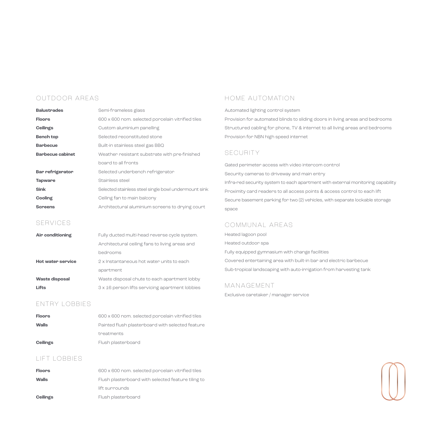# OUTDOOR AREAS

| <b>Balustrades</b>      | Semi-frameless glass                                 |
|-------------------------|------------------------------------------------------|
| <b>Floors</b>           | 600 x 600 nom. selected porcelain vitrified tiles    |
| <b>Ceilings</b>         | Custom aluminium panelling                           |
| <b>Bench top</b>        | Selected reconstituted stone                         |
| <b>Barbecue</b>         | Built-in stainless steel gas BBQ                     |
| <b>Barbecue cabinet</b> | Weather resistant substrate with pre-finished        |
|                         | board to all fronts                                  |
| <b>Bar refrigerator</b> | Selected underbench refrigerator                     |
| <b>Tapware</b>          | Stainless steel                                      |
| <b>Sink</b>             | Selected stainless steel single bowl undermount sink |
| Cooling                 | Ceiling fan to main balcony                          |
| <b>Screens</b>          | Architectural aluminium screens to drying court      |

#### SERVICES

| Air conditioning         | Fully ducted multi-head nevense cycle system.   |
|--------------------------|-------------------------------------------------|
|                          | Anchitectunal ceiling fans to living aneas and  |
|                          | bedrooms                                        |
| <b>Hot water service</b> | 2 x Instantaneous hot water units to each       |
|                          | apartment                                       |
| <b>Waste disposal</b>    | Waste disposal chute to each apartment lobby    |
| Lifts                    | 3 x 16 person lifts servicing apartment lobbies |

# ENTRY LOBBIES

| <b>Floors</b>   | 600 x 600 nom. selected porcelain vitrified tiles |
|-----------------|---------------------------------------------------|
| Walls           | Painted flush plasterboard with selected feature  |
|                 | treatments                                        |
| <b>Ceilings</b> | Flush plasterboard                                |

# LIFT LOBBIES

| <b>Floors</b>   | 600 x 600 nom. selected porcelain vitrified tiles  |
|-----------------|----------------------------------------------------|
| Walls           | Flush plasterboard with selected feature tiling to |
|                 | lift surrounds                                     |
| <b>Ceilings</b> | Flush plasterboard                                 |

# HOME AUTOMATION

Automated lighting control system

Provision for automated blinds to sliding doors in living areas and bedrooms Structured cabling for phone, TV & internet to all living areas and bedrooms Provision for NBN high speed internet

#### **SECURITY**

Gated perimeter access with video intercom control Security cameras to driveway and main entry Infra-red security system to each apartment with external monitoring capability Proximity card readers to all access points & access control to each lift Secure basement parking for two (2) vehicles, with separate lockable storage space

#### COMMUNAL AREAS

Heated lagoon pool Heated outdoor spa Fully equipped gymnasium with change facilities Covered entertaining area with built-in bar and electric barbecue Sub-tropical landscaping with auto-irrigation from harvesting tank

# MANAGEMENT

Exclusive caretaker / manager service